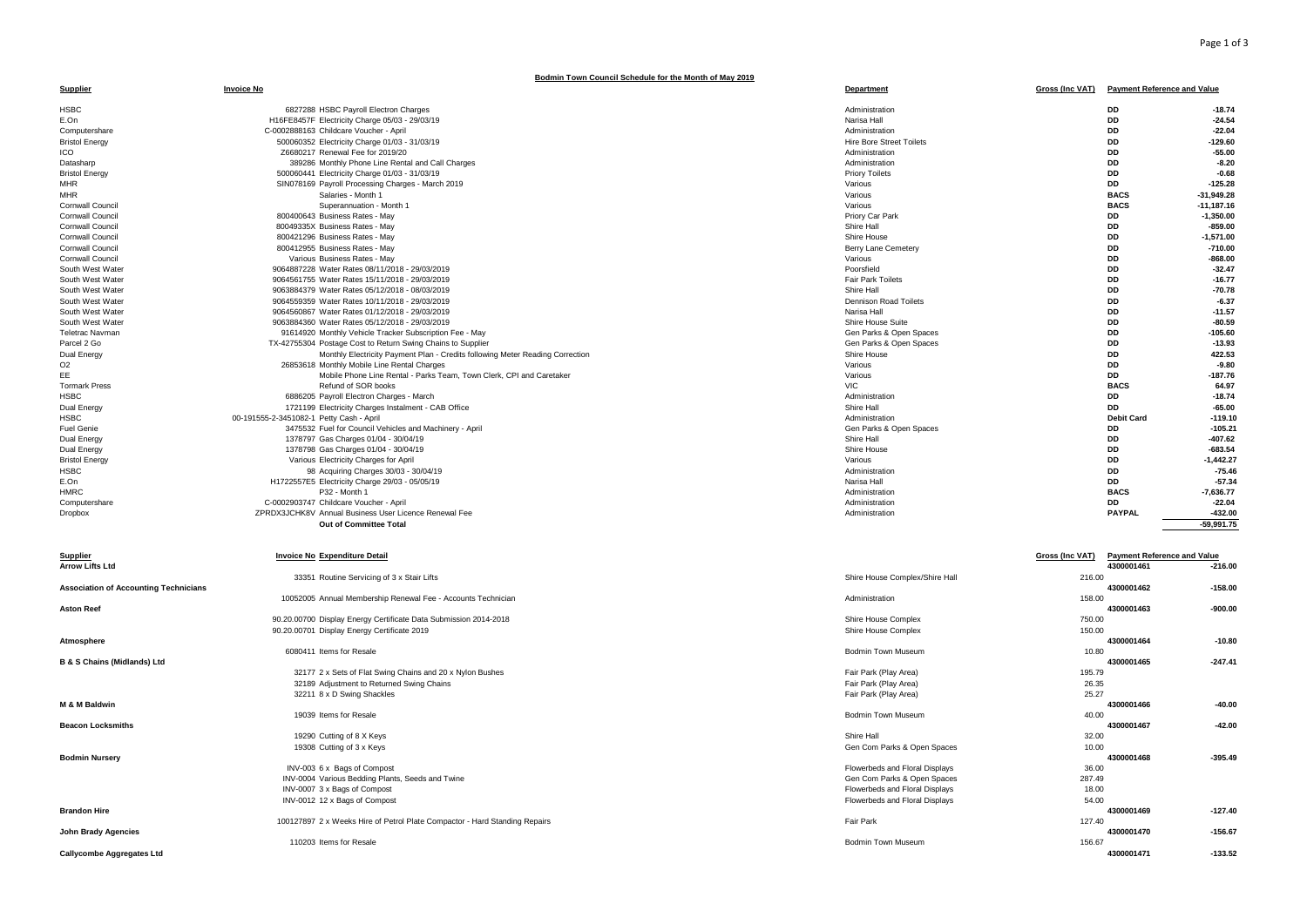## **Bodmin Town Council Schedule for the Month of May 2019**

| <b>Supplier</b>                              | <b>Invoice No</b>                                                             | Department                      |                        | Gross (Inc VAT) Payment Reference and Value |              |
|----------------------------------------------|-------------------------------------------------------------------------------|---------------------------------|------------------------|---------------------------------------------|--------------|
| <b>HSBC</b>                                  | 6827288 HSBC Payroll Electron Charges                                         | Administration                  |                        | <b>DD</b>                                   | $-18.74$     |
| E.On                                         | H16FE8457F Electricity Charge 05/03 - 29/03/19                                | Narisa Hall                     |                        | <b>DD</b>                                   | $-24.54$     |
| Computershare                                | C-0002888163 Childcare Voucher - April                                        | Administration                  |                        | DD                                          | $-22.04$     |
| <b>Bristol Energy</b>                        | 500060352 Electricity Charge 01/03 - 31/03/19                                 | <b>Hire Bore Street Toilets</b> |                        | DD                                          | $-129.60$    |
| ICO                                          | Z6680217 Renewal Fee for 2019/20                                              | Administration                  |                        | DD                                          | $-55.00$     |
| Datasharp                                    | 389286 Monthly Phone Line Rental and Call Charges                             | Administration                  |                        | <b>DD</b>                                   | $-8.20$      |
| <b>Bristol Energy</b>                        | 500060441 Electricity Charge 01/03 - 31/03/19                                 | <b>Priory Toilets</b>           |                        | <b>DD</b>                                   | $-0.68$      |
| <b>MHR</b>                                   | SIN078169 Payroll Processing Charges - March 2019                             | Various                         |                        | <b>DD</b>                                   | $-125.28$    |
| <b>MHR</b>                                   | Salaries - Month 1                                                            | Various                         |                        | <b>BACS</b>                                 | $-31.949.28$ |
| Cornwall Council                             | Superannuation - Month 1                                                      | Various                         |                        | <b>BACS</b>                                 | $-11,187.16$ |
| Cornwall Council                             | 800400643 Business Rates - May                                                | Priory Car Park                 |                        | DD                                          | $-1,350.00$  |
| Cornwall Council                             | 80049335X Business Rates - May                                                | Shire Hall                      |                        | DD                                          | $-859.00$    |
| Cornwall Council                             | 800421296 Business Rates - May                                                | Shire House                     |                        | <b>DD</b>                                   | $-1.571.00$  |
| Cornwall Council                             | 800412955 Business Rates - May                                                | Berry Lane Cemetery             |                        | <b>DD</b>                                   | $-710.00$    |
| Cornwall Council                             | Various Business Rates - May                                                  | Various                         |                        | DD                                          | $-868.00$    |
| South West Water                             | 9064887228 Water Rates 08/11/2018 - 29/03/2019                                | Poorsfield                      |                        | DD                                          | $-32.47$     |
| South West Water                             | 9064561755 Water Rates 15/11/2018 - 29/03/2019                                | <b>Fair Park Toilets</b>        |                        | <b>DD</b>                                   | $-16.77$     |
| South West Water                             | 9063884379 Water Rates 05/12/2018 - 08/03/2019                                | Shire Hall                      |                        | <b>DD</b>                                   | $-70.78$     |
| South West Water                             | 9064559359 Water Rates 10/11/2018 - 29/03/2019                                | <b>Dennison Road Toilets</b>    |                        | <b>DD</b>                                   | $-6.37$      |
| South West Water                             | 9064560867 Water Rates 01/12/2018 - 29/03/2019                                | Narisa Hall                     |                        | <b>DD</b>                                   | $-11.57$     |
| South West Water                             | 9063884360 Water Rates 05/12/2018 - 29/03/2019                                | Shire House Suite               |                        | <b>DD</b>                                   | $-80.59$     |
| <b>Teletrac Navman</b>                       | 91614920 Monthly Vehicle Tracker Subscription Fee - May                       | Gen Parks & Open Spaces         |                        | DD                                          | $-105.60$    |
| Parcel 2 Go                                  | TX-42755304 Postage Cost to Return Swing Chains to Supplier                   | Gen Parks & Open Spaces         |                        | DD                                          | $-13.93$     |
| Dual Energy                                  | Monthly Electricity Payment Plan - Credits following Meter Reading Correction | Shire House                     |                        | <b>DD</b>                                   | 422.53       |
| O <sub>2</sub>                               | 26853618 Monthly Mobile Line Rental Charges                                   | Various                         |                        | <b>DD</b>                                   | $-9.80$      |
| EE                                           | Mobile Phone Line Rental - Parks Team, Town Clerk, CPI and Caretaker          | Various                         |                        | <b>DD</b>                                   | $-187.76$    |
| <b>Tormark Press</b>                         | Refund of SOR books                                                           | <b>VIC</b>                      |                        | <b>BACS</b>                                 | 64.97        |
| <b>HSBC</b>                                  | 6886205 Payroll Electron Charges - March                                      | Administration                  |                        | <b>DD</b>                                   | $-18.74$     |
| Dual Energy                                  | 1721199 Electricity Charges Instalment - CAB Office                           | Shire Hall                      |                        | DD                                          | $-65.00$     |
| <b>HSBC</b>                                  | 00-191555-2-3451082-1 Petty Cash - April                                      | Administration                  |                        | <b>Debit Card</b>                           | $-119.10$    |
| <b>Fuel Genie</b>                            | 3475532 Fuel for Council Vehicles and Machinery - April                       | Gen Parks & Open Spaces         |                        | <b>DD</b>                                   | $-105.21$    |
| Dual Energy                                  | 1378797 Gas Charges 01/04 - 30/04/19                                          | Shire Hall                      |                        | <b>DD</b>                                   | $-407.62$    |
| Dual Energy                                  | 1378798 Gas Charges 01/04 - 30/04/19                                          | Shire House                     |                        | DD                                          | $-683.54$    |
| <b>Bristol Energy</b>                        | Various Electricity Charges for April                                         | Various                         |                        | DD                                          | $-1,442.27$  |
| <b>HSBC</b>                                  | 98 Acquiring Charges 30/03 - 30/04/19                                         | Administration                  |                        | <b>DD</b>                                   | $-75.46$     |
| E.On                                         | H1722557E5 Electricity Charge 29/03 - 05/05/19                                | Narisa Hall                     |                        | <b>DD</b>                                   | $-57.34$     |
| <b>HMRC</b>                                  | P32 - Month 1                                                                 | Administration                  |                        | <b>BACS</b>                                 | $-7,636.77$  |
| Computershare                                | C-0002903747 Childcare Voucher - April                                        | Administration                  |                        | <b>DD</b>                                   | $-22.04$     |
| Dropbox                                      | ZPRDX3JCHK8V Annual Business User Licence Renewal Fee                         | Administration                  |                        | <b>PAYPAL</b>                               | $-432.00$    |
|                                              | Out of Committee Total                                                        |                                 |                        |                                             | $-59,991.75$ |
| <b>Supplier</b>                              | <b>Invoice No Expenditure Detail</b>                                          |                                 | <b>Gross (Inc VAT)</b> | <b>Payment Reference and Value</b>          |              |
| <b>Arrow Lifts Ltd</b>                       |                                                                               |                                 |                        | 4300001461                                  | $-216.00$    |
|                                              | 33351 Routine Servicing of 3 x Stair Lifts                                    | Shire House Complex/Shire Hall  | 216.00                 |                                             |              |
| <b>Association of Accounting Technicians</b> |                                                                               |                                 |                        | 4300001462                                  | $-158.00$    |
|                                              | 10052005 Annual Membership Renewal Fee - Accounts Technician                  | Administration                  | 158.00                 |                                             |              |
| <b>Aston Reef</b>                            |                                                                               |                                 |                        | 4300001463                                  | $-900.00$    |
|                                              | 90.20.00700 Display Energy Certificate Data Submission 2014-2018              | Shire House Complex             | 750.00                 |                                             |              |
|                                              | 90.20.00701 Display Energy Certificate 2019                                   | Shire House Complex             | 150.00                 |                                             |              |
| Atmosphere                                   |                                                                               |                                 |                        | 4300001464                                  | $-10.80$     |
| <b>B &amp; S Chains (Midlands) Ltd</b>       | 6080411 Items for Resale                                                      | <b>Bodmin Town Museum</b>       | 10.80                  | 4300001465                                  | $-247.41$    |
|                                              | 32177 2 x Sets of Flat Swing Chains and 20 x Nylon Bushes                     | Fair Park (Play Area)           | 195.79                 |                                             |              |
|                                              |                                                                               |                                 |                        |                                             |              |
|                                              | 32189 Adjustment to Returned Swing Chains                                     | Fair Park (Play Area)           | 26.35                  |                                             |              |
| M & M Baldwin                                | 32211 8 x D Swing Shackles                                                    | Fair Park (Play Area)           | 25.27                  | 4300001466                                  | $-40.00$     |
|                                              | 19039 Items for Resale                                                        | <b>Bodmin Town Museum</b>       | 40.00                  |                                             |              |
| <b>Beacon Locksmiths</b>                     |                                                                               |                                 |                        | 4300001467                                  | $-42.00$     |
|                                              | 19290 Cutting of 8 X Keys                                                     | Shire Hall                      | 32.00                  |                                             |              |
|                                              | 19308 Cutting of 3 x Keys                                                     | Gen Com Parks & Open Spaces     | 10.00                  |                                             |              |
| <b>Bodmin Nursery</b>                        |                                                                               |                                 |                        | 4300001468                                  | $-395.49$    |
|                                              | INV-003 6 x Bags of Compost                                                   | Flowerbeds and Floral Displays  | 36.00                  |                                             |              |
|                                              | INV-0004 Various Bedding Plants, Seeds and Twine                              | Gen Com Parks & Open Spaces     | 287.49                 |                                             |              |
|                                              | INV-0007 3 x Bags of Compost                                                  | Flowerbeds and Floral Displays  | 18.00                  |                                             |              |
|                                              | INV-0012 12 x Bags of Compost                                                 | Flowerbeds and Floral Displays  | 54.00                  |                                             |              |
| <b>Brandon Hire</b>                          |                                                                               |                                 |                        | 4300001469                                  | $-127.40$    |
|                                              | 100127897 2 x Weeks Hire of Petrol Plate Compactor - Hard Standing Repairs    | Fair Park                       | 127.40                 |                                             |              |

method of Resale and the Bodmin Town Museum 156.67<br> **4300001471** 

**John Brady Agencies 4300001470 -156.67**

**Callycombe Aggregates Ltd 4300001471 -133.52**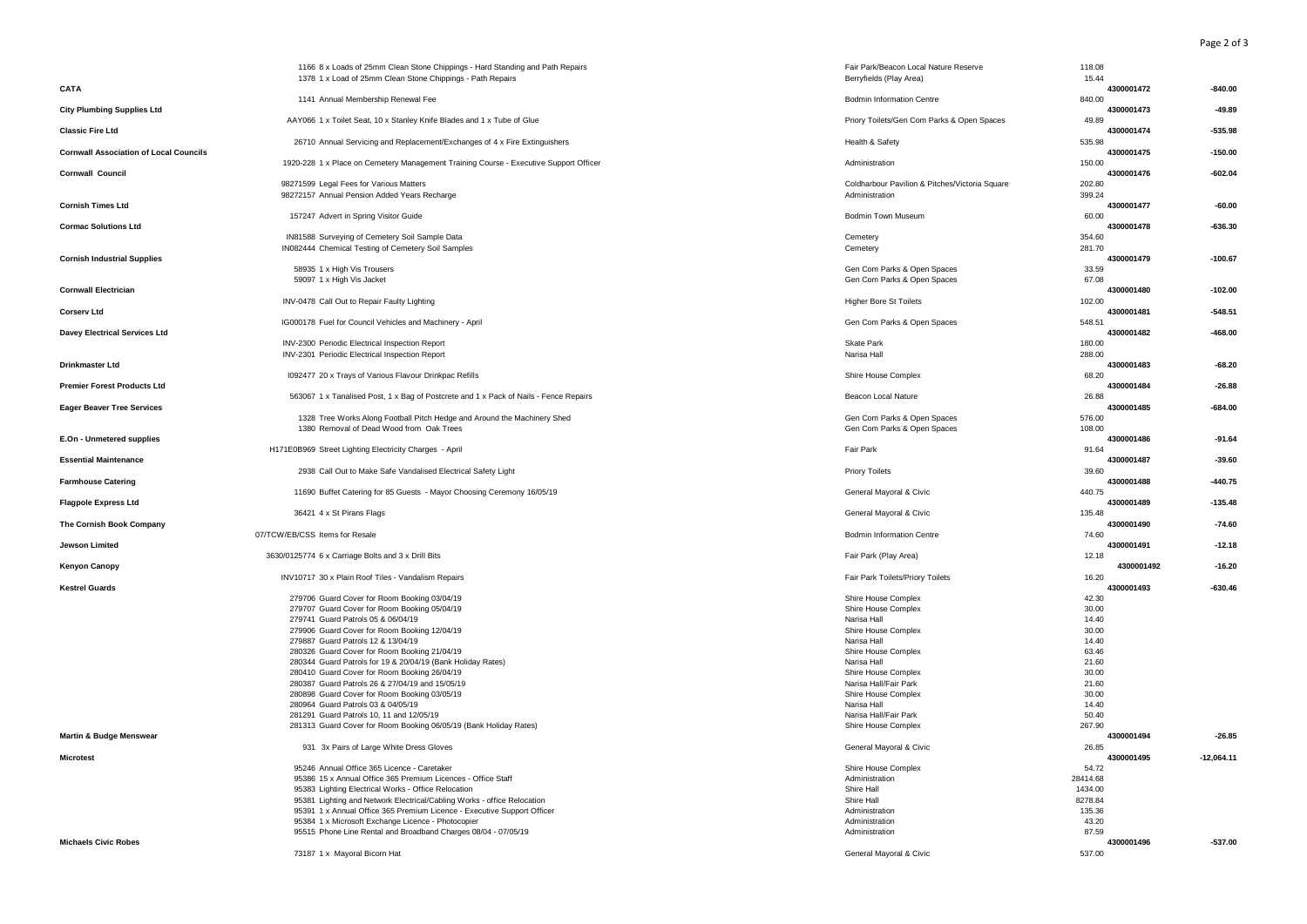Page 2 of 3

|                                               | 1166 8 x Loads of 25mm Clean Stone Chippings - Hard Standing and Path Repairs                | Fair Park/Beacon Local Nature Reserve                            | 118.08               |              |
|-----------------------------------------------|----------------------------------------------------------------------------------------------|------------------------------------------------------------------|----------------------|--------------|
| CATA                                          | 1378 1 x Load of 25mm Clean Stone Chippings - Path Repairs                                   | Berryfields (Play Area)                                          | 15.44<br>4300001472  | $-840.00$    |
|                                               | 1141 Annual Membership Renewal Fee                                                           | <b>Bodmin Information Centre</b>                                 | 840.00               |              |
| <b>City Plumbing Supplies Ltd</b>             | AAY066 1 x Toilet Seat, 10 x Stanley Knife Blades and 1 x Tube of Glue                       | Priory Toilets/Gen Com Parks & Open Spaces                       | 4300001473<br>49.89  | $-49.89$     |
| <b>Classic Fire Ltd</b>                       | 26710 Annual Servicing and Replacement/Exchanges of 4 x Fire Extinguishers                   | Health & Safety                                                  | 4300001474<br>535.98 | $-535.98$    |
| <b>Cornwall Association of Local Councils</b> |                                                                                              |                                                                  | 4300001475           | $-150.00$    |
| <b>Cornwall Council</b>                       | 1920-228 1 x Place on Cemetery Management Training Course - Executive Support Officer        | Administration                                                   | 150.00<br>4300001476 | $-602.04$    |
|                                               | 98271599 Legal Fees for Various Matters<br>98272157 Annual Pension Added Years Recharge      | Coldharbour Pavilion & Pitches/Victoria Square<br>Administration | 202.80<br>399.24     |              |
| <b>Cornish Times Ltd</b>                      |                                                                                              |                                                                  | 4300001477           | $-60.00$     |
| <b>Cormac Solutions Ltd</b>                   | 157247 Advert in Spring Visitor Guide                                                        | <b>Bodmin Town Museum</b>                                        | 60.00<br>4300001478  | $-636.30$    |
|                                               | IN81588 Surveying of Cemetery Soil Sample Data                                               | Cemetery                                                         | 354.60               |              |
| <b>Cornish Industrial Supplies</b>            | IN082444 Chemical Testing of Cemetery Soil Samples                                           | Cemetery                                                         | 281.70<br>4300001479 | $-100.67$    |
|                                               | 58935 1 x High Vis Trousers                                                                  | Gen Com Parks & Open Spaces                                      | 33.59                |              |
| <b>Cornwall Electrician</b>                   | 59097 1 x High Vis Jacket                                                                    | Gen Com Parks & Open Spaces                                      | 67.08<br>4300001480  | $-102.00$    |
|                                               | INV-0478 Call Out to Repair Faulty Lighting                                                  | <b>Higher Bore St Toilets</b>                                    | 102.00               |              |
| <b>Corserv Ltd</b>                            | IG000178 Fuel for Council Vehicles and Machinery - April                                     | Gen Com Parks & Open Spaces                                      | 4300001481<br>548.51 | $-548.51$    |
| <b>Davey Electrical Services Ltd</b>          |                                                                                              |                                                                  | 4300001482           | $-468.00$    |
|                                               | INV-2300 Periodic Electrical Inspection Report                                               | Skate Park                                                       | 180.00               |              |
| <b>Drinkmaster Ltd</b>                        | INV-2301 Periodic Electrical Inspection Report                                               | Narisa Hall                                                      | 288.00<br>4300001483 | $-68.20$     |
|                                               | 1092477 20 x Trays of Various Flavour Drinkpac Refills                                       | Shire House Complex                                              | 68.20                |              |
| <b>Premier Forest Products Ltd</b>            |                                                                                              |                                                                  | 4300001484           | $-26.88$     |
| <b>Eager Beaver Tree Services</b>             | 563067 1 x Tanalised Post, 1 x Bag of Postcrete and 1 x Pack of Nails - Fence Repairs        | Beacon Local Nature                                              | 26.88<br>4300001485  | $-684.00$    |
|                                               | 1328 Tree Works Along Football Pitch Hedge and Around the Machinery Shed                     | Gen Com Parks & Open Spaces                                      | 576.00               |              |
|                                               | 1380 Removal of Dead Wood from Oak Trees                                                     | Gen Com Parks & Open Spaces                                      | 108.00               |              |
| E.On - Unmetered supplies                     | H171E0B969 Street Lighting Electricity Charges - April                                       | <b>Fair Park</b>                                                 | 4300001486<br>91.64  | $-91.64$     |
| <b>Essential Maintenance</b>                  |                                                                                              |                                                                  | 4300001487           | $-39.60$     |
| <b>Farmhouse Catering</b>                     | 2938 Call Out to Make Safe Vandalised Electrical Safety Light                                | Priory Toilets                                                   | 39.60<br>4300001488  | $-440.75$    |
|                                               | 11690 Buffet Catering for 85 Guests - Mayor Choosing Ceremony 16/05/19                       | General Mayoral & Civic                                          | 440.75               |              |
| <b>Flagpole Express Ltd</b>                   |                                                                                              |                                                                  | 4300001489           | $-135.48$    |
| The Cornish Book Company                      | 36421 4 x St Pirans Flags                                                                    | General Mayoral & Civic                                          | 135.48<br>4300001490 | $-74.60$     |
|                                               | 07/TCW/EB/CSS Items for Resale                                                               | <b>Bodmin Information Centre</b>                                 | 74.60                |              |
| <b>Jewson Limited</b>                         |                                                                                              |                                                                  | 4300001491           | $-12.18$     |
| <b>Kenyon Canopy</b>                          | 3630/0125774 6 x Carriage Bolts and 3 x Drill Bits                                           | Fair Park (Play Area)                                            | 12.18<br>4300001492  | $-16.20$     |
|                                               | INV10717 30 x Plain Roof Tiles - Vandalism Repairs                                           | Fair Park Toilets/Priory Toilets                                 | 16.20                |              |
| <b>Kestrel Guards</b>                         |                                                                                              |                                                                  | 4300001493           | $-630.46$    |
|                                               | 279706 Guard Cover for Room Booking 03/04/19<br>279707 Guard Cover for Room Booking 05/04/19 | Shire House Complex<br>Shire House Complex                       | 42.30<br>30.00       |              |
|                                               | 279741 Guard Patrols 05 & 06/04/19                                                           | Narisa Hall                                                      | 14.40                |              |
|                                               | 279906 Guard Cover for Room Booking 12/04/19                                                 | Shire House Complex                                              | 30.00                |              |
|                                               | 279887 Guard Patrols 12 & 13/04/19                                                           | Narisa Hall                                                      | 14.40                |              |
|                                               | 280326 Guard Cover for Room Booking 21/04/19                                                 | Shire House Complex                                              | 63.46                |              |
|                                               | 280344 Guard Patrols for 19 & 20/04/19 (Bank Holiday Rates)                                  | Narisa Hall                                                      | 21.60                |              |
|                                               | 280410 Guard Cover for Room Booking 26/04/19                                                 | Shire House Complex                                              | 30.00                |              |
|                                               | 280387 Guard Patrols 26 & 27/04/19 and 15/05/19                                              | Narisa Hall/Fair Park                                            | 21.60                |              |
|                                               | 280898 Guard Cover for Room Booking 03/05/19                                                 | Shire House Complex                                              | 30.00                |              |
|                                               | 280964 Guard Patrols 03 & 04/05/19<br>281291 Guard Patrols 10, 11 and 12/05/19               | Narisa Hall<br>Narisa Hall/Fair Park                             | 14.40<br>50.40       |              |
|                                               | 281313 Guard Cover for Room Booking 06/05/19 (Bank Holiday Rates)                            | Shire House Complex                                              | 267.90               |              |
| Martin & Budge Menswear                       |                                                                                              |                                                                  | 4300001494           | $-26.85$     |
|                                               | 931 3x Pairs of Large White Dress Gloves                                                     | General Mayoral & Civic                                          | 26.85                |              |
| <b>Microtest</b>                              |                                                                                              |                                                                  | 4300001495           | $-12,064.11$ |
|                                               | 95246 Annual Office 365 Licence - Caretaker                                                  | Shire House Complex                                              | 54.72                |              |
|                                               | 95386 15 x Annual Office 365 Premium Licences - Office Staff                                 | Administration                                                   | 28414.68             |              |
|                                               | 95383 Lighting Electrical Works - Office Relocation                                          | Shire Hall                                                       | 1434.00              |              |
|                                               | 95381 Lighting and Network Electrical/Cabling Works - office Relocation                      | Shire Hall                                                       | 8278.84              |              |
|                                               | 95391 1 x Annual Office 365 Premium Licence - Executive Support Officer                      | Administration                                                   | 135.36               |              |
|                                               | 95384 1 x Microsoft Exchange Licence - Photocopier                                           | Administration                                                   | 43.20                |              |
|                                               | 95515 Phone Line Rental and Broadband Charges 08/04 - 07/05/19                               | Administration                                                   | 87.59                |              |
| <b>Michaels Civic Robes</b>                   | 73187 1 x Mayoral Bicorn Hat                                                                 | General Mayoral & Civic                                          | 4300001496<br>537.00 | $-537.00$    |
|                                               |                                                                                              |                                                                  |                      |              |